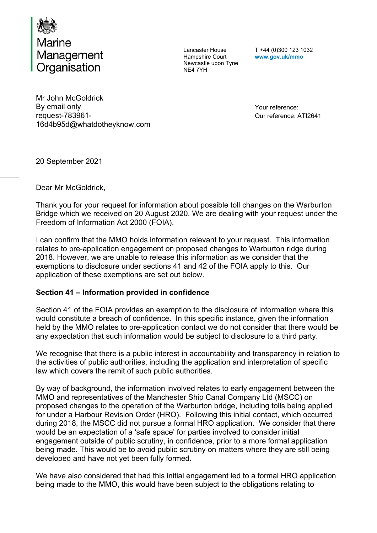

Lancaster House Hampshire Court Newcastle upon Tyne NE4 7YH

T +44 (0)300 123 1032 **www.gov.uk/mmo** 

Mr John McGoldrick By email only request-783961- 16d4b95d@whatdotheyknow.com

Your reference: Our reference: ATI2641

20 September 2021

Dear Mr McGoldrick,

Thank you for your request for information about possible toll changes on the Warburton Bridge which we received on 20 August 2020. We are dealing with your request under the Freedom of Information Act 2000 (FOIA).

I can confirm that the MMO holds information relevant to your request. This information relates to pre-application engagement on proposed changes to Warburton ridge during 2018. However, we are unable to release this information as we consider that the exemptions to disclosure under sections 41 and 42 of the FOIA apply to this. Our application of these exemptions are set out below.

## **Section 41 – Information provided in confidence**

Section 41 of the FOIA provides an exemption to the disclosure of information where this would constitute a breach of confidence. In this specific instance, given the information held by the MMO relates to pre-application contact we do not consider that there would be any expectation that such information would be subject to disclosure to a third party.

We recognise that there is a public interest in accountability and transparency in relation to the activities of public authorities, including the application and interpretation of specific law which covers the remit of such public authorities.

By way of background, the information involved relates to early engagement between the MMO and representatives of the Manchester Ship Canal Company Ltd (MSCC) on proposed changes to the operation of the Warburton bridge, including tolls being applied for under a Harbour Revision Order (HRO). Following this initial contact, which occurred during 2018, the MSCC did not pursue a formal HRO application. We consider that there would be an expectation of a 'safe space' for parties involved to consider initial engagement outside of public scrutiny, in confidence, prior to a more formal application being made. This would be to avoid public scrutiny on matters where they are still being developed and have not yet been fully formed.

We have also considered that had this initial engagement led to a formal HRO application being made to the MMO, this would have been subject to the obligations relating to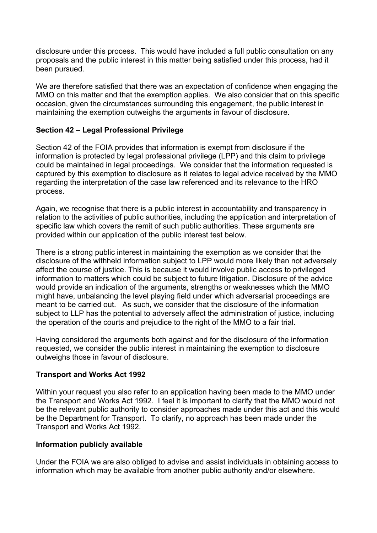disclosure under this process. This would have included a full public consultation on any proposals and the public interest in this matter being satisfied under this process, had it been pursued.

We are therefore satisfied that there was an expectation of confidence when engaging the MMO on this matter and that the exemption applies. We also consider that on this specific occasion, given the circumstances surrounding this engagement, the public interest in maintaining the exemption outweighs the arguments in favour of disclosure.

## **Section 42 – Legal Professional Privilege**

Section 42 of the FOIA provides that information is exempt from disclosure if the information is protected by legal professional privilege (LPP) and this claim to privilege could be maintained in legal proceedings. We consider that the information requested is captured by this exemption to disclosure as it relates to legal advice received by the MMO regarding the interpretation of the case law referenced and its relevance to the HRO process.

Again, we recognise that there is a public interest in accountability and transparency in relation to the activities of public authorities, including the application and interpretation of specific law which covers the remit of such public authorities. These arguments are provided within our application of the public interest test below.

There is a strong public interest in maintaining the exemption as we consider that the disclosure of the withheld information subject to LPP would more likely than not adversely affect the course of justice. This is because it would involve public access to privileged information to matters which could be subject to future litigation. Disclosure of the advice would provide an indication of the arguments, strengths or weaknesses which the MMO might have, unbalancing the level playing field under which adversarial proceedings are meant to be carried out. As such, we consider that the disclosure of the information subject to LLP has the potential to adversely affect the administration of justice, including the operation of the courts and prejudice to the right of the MMO to a fair trial.

Having considered the arguments both against and for the disclosure of the information requested, we consider the public interest in maintaining the exemption to disclosure outweighs those in favour of disclosure.

## **Transport and Works Act 1992**

Within your request you also refer to an application having been made to the MMO under the Transport and Works Act 1992. I feel it is important to clarify that the MMO would not be the relevant public authority to consider approaches made under this act and this would be the Department for Transport. To clarify, no approach has been made under the Transport and Works Act 1992.

## **Information publicly available**

Under the FOIA we are also obliged to advise and assist individuals in obtaining access to information which may be available from another public authority and/or elsewhere.